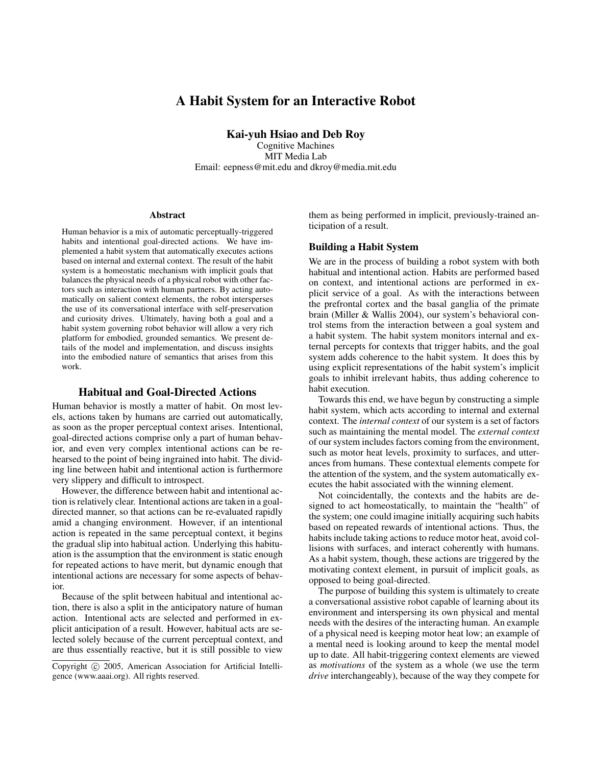# A Habit System for an Interactive Robot

Kai-yuh Hsiao and Deb Roy

Cognitive Machines MIT Media Lab Email: eepness@mit.edu and dkroy@media.mit.edu

#### Abstract

Human behavior is a mix of automatic perceptually-triggered habits and intentional goal-directed actions. We have implemented a habit system that automatically executes actions based on internal and external context. The result of the habit system is a homeostatic mechanism with implicit goals that balances the physical needs of a physical robot with other factors such as interaction with human partners. By acting automatically on salient context elements, the robot intersperses the use of its conversational interface with self-preservation and curiosity drives. Ultimately, having both a goal and a habit system governing robot behavior will allow a very rich platform for embodied, grounded semantics. We present details of the model and implementation, and discuss insights into the embodied nature of semantics that arises from this work.

### Habitual and Goal-Directed Actions

Human behavior is mostly a matter of habit. On most levels, actions taken by humans are carried out automatically, as soon as the proper perceptual context arises. Intentional, goal-directed actions comprise only a part of human behavior, and even very complex intentional actions can be rehearsed to the point of being ingrained into habit. The dividing line between habit and intentional action is furthermore very slippery and difficult to introspect.

However, the difference between habit and intentional action is relatively clear. Intentional actions are taken in a goaldirected manner, so that actions can be re-evaluated rapidly amid a changing environment. However, if an intentional action is repeated in the same perceptual context, it begins the gradual slip into habitual action. Underlying this habituation is the assumption that the environment is static enough for repeated actions to have merit, but dynamic enough that intentional actions are necessary for some aspects of behavior.

Because of the split between habitual and intentional action, there is also a split in the anticipatory nature of human action. Intentional acts are selected and performed in explicit anticipation of a result. However, habitual acts are selected solely because of the current perceptual context, and are thus essentially reactive, but it is still possible to view

them as being performed in implicit, previously-trained anticipation of a result.

#### Building a Habit System

We are in the process of building a robot system with both habitual and intentional action. Habits are performed based on context, and intentional actions are performed in explicit service of a goal. As with the interactions between the prefrontal cortex and the basal ganglia of the primate brain (Miller & Wallis 2004), our system's behavioral control stems from the interaction between a goal system and a habit system. The habit system monitors internal and external percepts for contexts that trigger habits, and the goal system adds coherence to the habit system. It does this by using explicit representations of the habit system's implicit goals to inhibit irrelevant habits, thus adding coherence to habit execution.

Towards this end, we have begun by constructing a simple habit system, which acts according to internal and external context. The *internal context* of our system is a set of factors such as maintaining the mental model. The *external context* of our system includes factors coming from the environment, such as motor heat levels, proximity to surfaces, and utterances from humans. These contextual elements compete for the attention of the system, and the system automatically executes the habit associated with the winning element.

Not coincidentally, the contexts and the habits are designed to act homeostatically, to maintain the "health" of the system; one could imagine initially acquiring such habits based on repeated rewards of intentional actions. Thus, the habits include taking actions to reduce motor heat, avoid collisions with surfaces, and interact coherently with humans. As a habit system, though, these actions are triggered by the motivating context element, in pursuit of implicit goals, as opposed to being goal-directed.

The purpose of building this system is ultimately to create a conversational assistive robot capable of learning about its environment and interspersing its own physical and mental needs with the desires of the interacting human. An example of a physical need is keeping motor heat low; an example of a mental need is looking around to keep the mental model up to date. All habit-triggering context elements are viewed as *motivations* of the system as a whole (we use the term *drive* interchangeably), because of the way they compete for

Copyright (c) 2005, American Association for Artificial Intelligence (www.aaai.org). All rights reserved.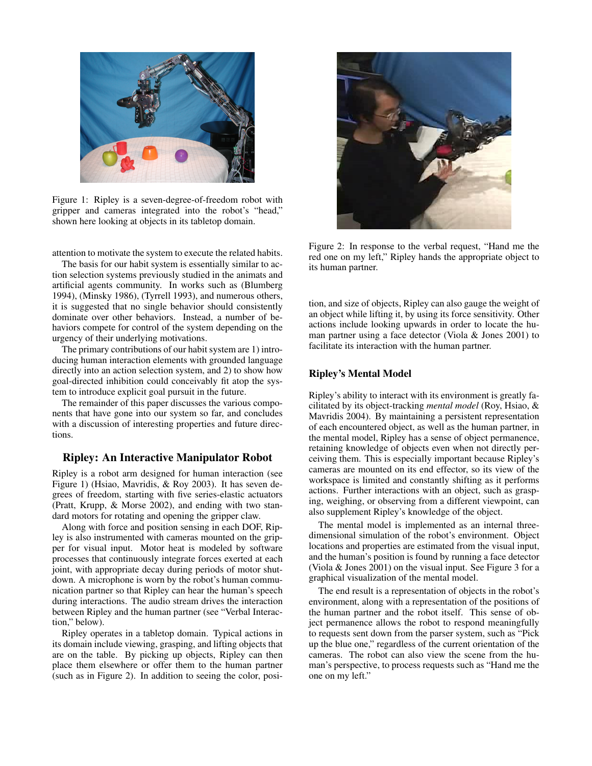

Figure 1: Ripley is a seven-degree-of-freedom robot with gripper and cameras integrated into the robot's "head," shown here looking at objects in its tabletop domain.

attention to motivate the system to execute the related habits.

The basis for our habit system is essentially similar to action selection systems previously studied in the animats and artificial agents community. In works such as (Blumberg 1994), (Minsky 1986), (Tyrrell 1993), and numerous others, it is suggested that no single behavior should consistently dominate over other behaviors. Instead, a number of behaviors compete for control of the system depending on the urgency of their underlying motivations.

The primary contributions of our habit system are 1) introducing human interaction elements with grounded language directly into an action selection system, and 2) to show how goal-directed inhibition could conceivably fit atop the system to introduce explicit goal pursuit in the future.

The remainder of this paper discusses the various components that have gone into our system so far, and concludes with a discussion of interesting properties and future directions.

# Ripley: An Interactive Manipulator Robot

Ripley is a robot arm designed for human interaction (see Figure 1) (Hsiao, Mavridis, & Roy 2003). It has seven degrees of freedom, starting with five series-elastic actuators (Pratt, Krupp, & Morse 2002), and ending with two standard motors for rotating and opening the gripper claw.

Along with force and position sensing in each DOF, Ripley is also instrumented with cameras mounted on the gripper for visual input. Motor heat is modeled by software processes that continuously integrate forces exerted at each joint, with appropriate decay during periods of motor shutdown. A microphone is worn by the robot's human communication partner so that Ripley can hear the human's speech during interactions. The audio stream drives the interaction between Ripley and the human partner (see "Verbal Interaction," below).

Ripley operates in a tabletop domain. Typical actions in its domain include viewing, grasping, and lifting objects that are on the table. By picking up objects, Ripley can then place them elsewhere or offer them to the human partner (such as in Figure 2). In addition to seeing the color, posi-



Figure 2: In response to the verbal request, "Hand me the red one on my left," Ripley hands the appropriate object to its human partner.

tion, and size of objects, Ripley can also gauge the weight of an object while lifting it, by using its force sensitivity. Other actions include looking upwards in order to locate the human partner using a face detector (Viola & Jones 2001) to facilitate its interaction with the human partner.

### Ripley's Mental Model

Ripley's ability to interact with its environment is greatly facilitated by its object-tracking *mental model* (Roy, Hsiao, & Mavridis 2004). By maintaining a persistent representation of each encountered object, as well as the human partner, in the mental model, Ripley has a sense of object permanence, retaining knowledge of objects even when not directly perceiving them. This is especially important because Ripley's cameras are mounted on its end effector, so its view of the workspace is limited and constantly shifting as it performs actions. Further interactions with an object, such as grasping, weighing, or observing from a different viewpoint, can also supplement Ripley's knowledge of the object.

The mental model is implemented as an internal threedimensional simulation of the robot's environment. Object locations and properties are estimated from the visual input, and the human's position is found by running a face detector (Viola & Jones 2001) on the visual input. See Figure 3 for a graphical visualization of the mental model.

The end result is a representation of objects in the robot's environment, along with a representation of the positions of the human partner and the robot itself. This sense of object permanence allows the robot to respond meaningfully to requests sent down from the parser system, such as "Pick up the blue one," regardless of the current orientation of the cameras. The robot can also view the scene from the human's perspective, to process requests such as "Hand me the one on my left."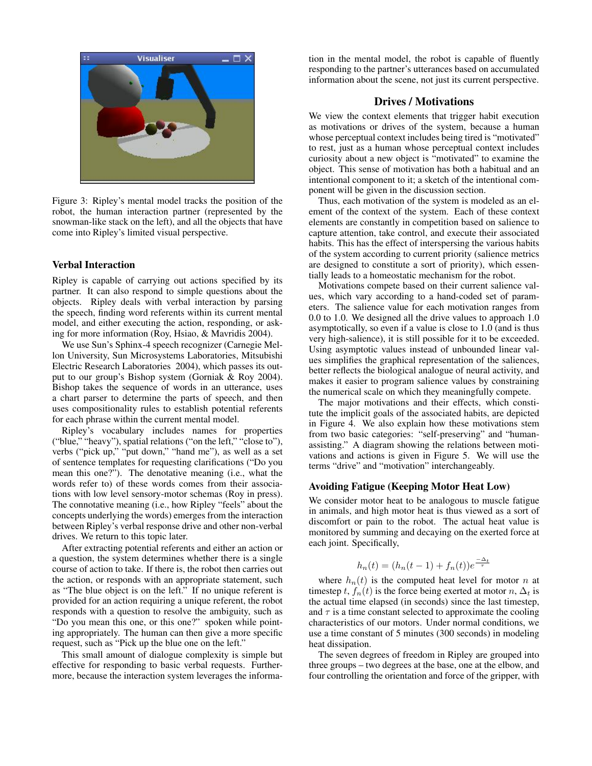

Figure 3: Ripley's mental model tracks the position of the robot, the human interaction partner (represented by the snowman-like stack on the left), and all the objects that have come into Ripley's limited visual perspective.

### Verbal Interaction

Ripley is capable of carrying out actions specified by its partner. It can also respond to simple questions about the objects. Ripley deals with verbal interaction by parsing the speech, finding word referents within its current mental model, and either executing the action, responding, or asking for more information (Roy, Hsiao, & Mavridis 2004).

We use Sun's Sphinx-4 speech recognizer (Carnegie Mellon University, Sun Microsystems Laboratories, Mitsubishi Electric Research Laboratories 2004), which passes its output to our group's Bishop system (Gorniak & Roy 2004). Bishop takes the sequence of words in an utterance, uses a chart parser to determine the parts of speech, and then uses compositionality rules to establish potential referents for each phrase within the current mental model.

Ripley's vocabulary includes names for properties ("blue," "heavy"), spatial relations ("on the left," "close to"), verbs ("pick up," "put down," "hand me"), as well as a set of sentence templates for requesting clarifications ("Do you mean this one?"). The denotative meaning (i.e., what the words refer to) of these words comes from their associations with low level sensory-motor schemas (Roy in press). The connotative meaning (i.e., how Ripley "feels" about the concepts underlying the words) emerges from the interaction between Ripley's verbal response drive and other non-verbal drives. We return to this topic later.

After extracting potential referents and either an action or a question, the system determines whether there is a single course of action to take. If there is, the robot then carries out the action, or responds with an appropriate statement, such as "The blue object is on the left." If no unique referent is provided for an action requiring a unique referent, the robot responds with a question to resolve the ambiguity, such as "Do you mean this one, or this one?" spoken while pointing appropriately. The human can then give a more specific request, such as "Pick up the blue one on the left."

This small amount of dialogue complexity is simple but effective for responding to basic verbal requests. Furthermore, because the interaction system leverages the information in the mental model, the robot is capable of fluently responding to the partner's utterances based on accumulated information about the scene, not just its current perspective.

# Drives / Motivations

We view the context elements that trigger habit execution as motivations or drives of the system, because a human whose perceptual context includes being tired is "motivated" to rest, just as a human whose perceptual context includes curiosity about a new object is "motivated" to examine the object. This sense of motivation has both a habitual and an intentional component to it; a sketch of the intentional component will be given in the discussion section.

Thus, each motivation of the system is modeled as an element of the context of the system. Each of these context elements are constantly in competition based on salience to capture attention, take control, and execute their associated habits. This has the effect of interspersing the various habits of the system according to current priority (salience metrics are designed to constitute a sort of priority), which essentially leads to a homeostatic mechanism for the robot.

Motivations compete based on their current salience values, which vary according to a hand-coded set of parameters. The salience value for each motivation ranges from 0.0 to 1.0. We designed all the drive values to approach 1.0 asymptotically, so even if a value is close to 1.0 (and is thus very high-salience), it is still possible for it to be exceeded. Using asymptotic values instead of unbounded linear values simplifies the graphical representation of the saliences, better reflects the biological analogue of neural activity, and makes it easier to program salience values by constraining the numerical scale on which they meaningfully compete.

The major motivations and their effects, which constitute the implicit goals of the associated habits, are depicted in Figure 4. We also explain how these motivations stem from two basic categories: "self-preserving" and "humanassisting." A diagram showing the relations between motivations and actions is given in Figure 5. We will use the terms "drive" and "motivation" interchangeably.

#### Avoiding Fatigue (Keeping Motor Heat Low)

We consider motor heat to be analogous to muscle fatigue in animals, and high motor heat is thus viewed as a sort of discomfort or pain to the robot. The actual heat value is monitored by summing and decaying on the exerted force at each joint. Specifically,

$$
h_n(t) = (h_n(t-1) + f_n(t))e^{\frac{-\Delta_t}{\tau}}
$$

where  $h_n(t)$  is the computed heat level for motor n at timestep t,  $f_n(t)$  is the force being exerted at motor  $n, \Delta_t$  is the actual time elapsed (in seconds) since the last timestep, and  $\tau$  is a time constant selected to approximate the cooling characteristics of our motors. Under normal conditions, we use a time constant of 5 minutes (300 seconds) in modeling heat dissipation.

The seven degrees of freedom in Ripley are grouped into three groups – two degrees at the base, one at the elbow, and four controlling the orientation and force of the gripper, with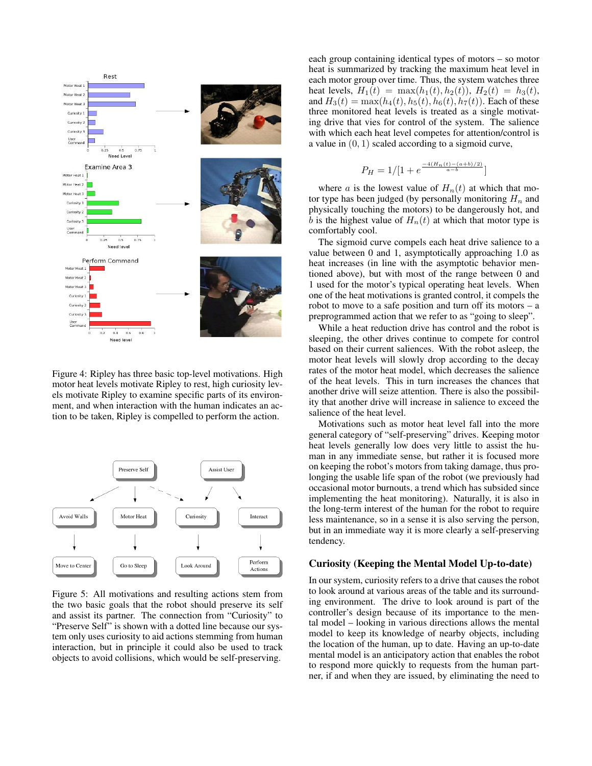

Figure 4: Ripley has three basic top-level motivations. High motor heat levels motivate Ripley to rest, high curiosity levels motivate Ripley to examine specific parts of its environment, and when interaction with the human indicates an action to be taken, Ripley is compelled to perform the action.



Figure 5: All motivations and resulting actions stem from the two basic goals that the robot should preserve its self and assist its partner. The connection from "Curiosity" to "Preserve Self" is shown with a dotted line because our system only uses curiosity to aid actions stemming from human interaction, but in principle it could also be used to track objects to avoid collisions, which would be self-preserving.

each group containing identical types of motors – so motor heat is summarized by tracking the maximum heat level in each motor group over time. Thus, the system watches three heat levels,  $H_1(t) = \max(h_1(t), h_2(t))$ ,  $H_2(t) = h_3(t)$ , and  $H_3(t) = \max(h_4(t), h_5(t), h_6(t), h_7(t))$ . Each of these three monitored heat levels is treated as a single motivating drive that vies for control of the system. The salience with which each heat level competes for attention/control is a value in  $(0, 1)$  scaled according to a sigmoid curve,

$$
P_H = 1/[1 + e^{\frac{-4(H_n(t) - (a+b)/2)}{a-b}}]
$$

where a is the lowest value of  $H_n(t)$  at which that motor type has been judged (by personally monitoring  $H_n$  and physically touching the motors) to be dangerously hot, and b is the highest value of  $H_n(t)$  at which that motor type is comfortably cool.

The sigmoid curve compels each heat drive salience to a value between 0 and 1, asymptotically approaching 1.0 as heat increases (in line with the asymptotic behavior mentioned above), but with most of the range between 0 and 1 used for the motor's typical operating heat levels. When one of the heat motivations is granted control, it compels the robot to move to a safe position and turn off its motors – a preprogrammed action that we refer to as "going to sleep".

While a heat reduction drive has control and the robot is sleeping, the other drives continue to compete for control based on their current saliences. With the robot asleep, the motor heat levels will slowly drop according to the decay rates of the motor heat model, which decreases the salience of the heat levels. This in turn increases the chances that another drive will seize attention. There is also the possibility that another drive will increase in salience to exceed the salience of the heat level.

Motivations such as motor heat level fall into the more general category of "self-preserving" drives. Keeping motor heat levels generally low does very little to assist the human in any immediate sense, but rather it is focused more on keeping the robot's motors from taking damage, thus prolonging the usable life span of the robot (we previously had occasional motor burnouts, a trend which has subsided since implementing the heat monitoring). Naturally, it is also in the long-term interest of the human for the robot to require less maintenance, so in a sense it is also serving the person, but in an immediate way it is more clearly a self-preserving tendency.

### Curiosity (Keeping the Mental Model Up-to-date)

In our system, curiosity refers to a drive that causes the robot to look around at various areas of the table and its surrounding environment. The drive to look around is part of the controller's design because of its importance to the mental model – looking in various directions allows the mental model to keep its knowledge of nearby objects, including the location of the human, up to date. Having an up-to-date mental model is an anticipatory action that enables the robot to respond more quickly to requests from the human partner, if and when they are issued, by eliminating the need to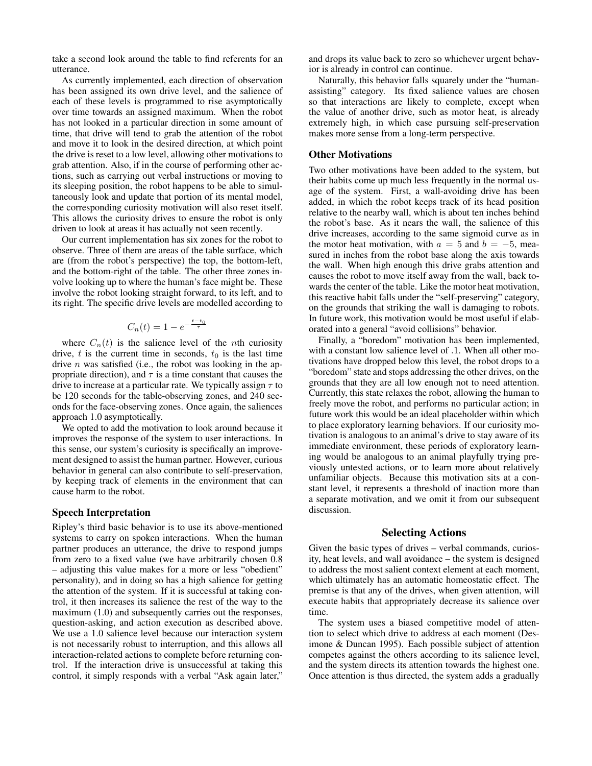take a second look around the table to find referents for an utterance.

As currently implemented, each direction of observation has been assigned its own drive level, and the salience of each of these levels is programmed to rise asymptotically over time towards an assigned maximum. When the robot has not looked in a particular direction in some amount of time, that drive will tend to grab the attention of the robot and move it to look in the desired direction, at which point the drive is reset to a low level, allowing other motivations to grab attention. Also, if in the course of performing other actions, such as carrying out verbal instructions or moving to its sleeping position, the robot happens to be able to simultaneously look and update that portion of its mental model, the corresponding curiosity motivation will also reset itself. This allows the curiosity drives to ensure the robot is only driven to look at areas it has actually not seen recently.

Our current implementation has six zones for the robot to observe. Three of them are areas of the table surface, which are (from the robot's perspective) the top, the bottom-left, and the bottom-right of the table. The other three zones involve looking up to where the human's face might be. These involve the robot looking straight forward, to its left, and to its right. The specific drive levels are modelled according to

$$
C_n(t) = 1 - e^{-\frac{t - t_0}{\tau}}
$$

where  $C_n(t)$  is the salience level of the *n*th curiosity drive,  $t$  is the current time in seconds,  $t_0$  is the last time drive  $n$  was satisfied (i.e., the robot was looking in the appropriate direction), and  $\tau$  is a time constant that causes the drive to increase at a particular rate. We typically assign  $\tau$  to be 120 seconds for the table-observing zones, and 240 seconds for the face-observing zones. Once again, the saliences approach 1.0 asymptotically.

We opted to add the motivation to look around because it improves the response of the system to user interactions. In this sense, our system's curiosity is specifically an improvement designed to assist the human partner. However, curious behavior in general can also contribute to self-preservation, by keeping track of elements in the environment that can cause harm to the robot.

## Speech Interpretation

Ripley's third basic behavior is to use its above-mentioned systems to carry on spoken interactions. When the human partner produces an utterance, the drive to respond jumps from zero to a fixed value (we have arbitrarily chosen 0.8 – adjusting this value makes for a more or less "obedient" personality), and in doing so has a high salience for getting the attention of the system. If it is successful at taking control, it then increases its salience the rest of the way to the maximum  $(1.0)$  and subsequently carries out the responses, question-asking, and action execution as described above. We use a 1.0 salience level because our interaction system is not necessarily robust to interruption, and this allows all interaction-related actions to complete before returning control. If the interaction drive is unsuccessful at taking this control, it simply responds with a verbal "Ask again later,"

and drops its value back to zero so whichever urgent behavior is already in control can continue.

Naturally, this behavior falls squarely under the "humanassisting" category. Its fixed salience values are chosen so that interactions are likely to complete, except when the value of another drive, such as motor heat, is already extremely high, in which case pursuing self-preservation makes more sense from a long-term perspective.

#### Other Motivations

Two other motivations have been added to the system, but their habits come up much less frequently in the normal usage of the system. First, a wall-avoiding drive has been added, in which the robot keeps track of its head position relative to the nearby wall, which is about ten inches behind the robot's base. As it nears the wall, the salience of this drive increases, according to the same sigmoid curve as in the motor heat motivation, with  $a = 5$  and  $b = -5$ , measured in inches from the robot base along the axis towards the wall. When high enough this drive grabs attention and causes the robot to move itself away from the wall, back towards the center of the table. Like the motor heat motivation, this reactive habit falls under the "self-preserving" category, on the grounds that striking the wall is damaging to robots. In future work, this motivation would be most useful if elaborated into a general "avoid collisions" behavior.

Finally, a "boredom" motivation has been implemented, with a constant low salience level of .1. When all other motivations have dropped below this level, the robot drops to a "boredom" state and stops addressing the other drives, on the grounds that they are all low enough not to need attention. Currently, this state relaxes the robot, allowing the human to freely move the robot, and performs no particular action; in future work this would be an ideal placeholder within which to place exploratory learning behaviors. If our curiosity motivation is analogous to an animal's drive to stay aware of its immediate environment, these periods of exploratory learning would be analogous to an animal playfully trying previously untested actions, or to learn more about relatively unfamiliar objects. Because this motivation sits at a constant level, it represents a threshold of inaction more than a separate motivation, and we omit it from our subsequent discussion.

### Selecting Actions

Given the basic types of drives – verbal commands, curiosity, heat levels, and wall avoidance – the system is designed to address the most salient context element at each moment, which ultimately has an automatic homeostatic effect. The premise is that any of the drives, when given attention, will execute habits that appropriately decrease its salience over time.

The system uses a biased competitive model of attention to select which drive to address at each moment (Desimone & Duncan 1995). Each possible subject of attention competes against the others according to its salience level, and the system directs its attention towards the highest one. Once attention is thus directed, the system adds a gradually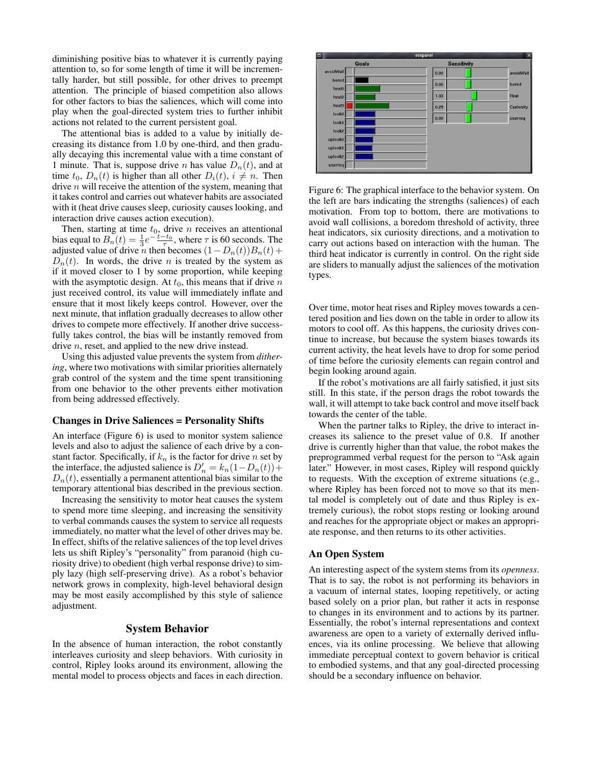diminishing positive bias to whatever it is currently paying attention to, so for some length of time it will be incrementally harder, but still possible, for other drives to preempt attention. The principle of biased competition also allows for other factors to bias the saliences, which will come into play when the goal-directed system tries to further inhibit actions not related to the current persistent goal.

The attentional bias is added to a value by initially decreasing its distance from 1.0 by one-third, and then gradually decaying this incremental value with a time constant of 1 minute. That is, suppose drive *n* has value  $D_n(t)$ , and at time  $t_0$ ,  $D_n(t)$  is higher than all other  $D_i(t)$ ,  $i \neq n$ . Then drive  $n$  will receive the attention of the system, meaning that it takes control and carries out whatever habits are associated with it (heat drive causes sleep, curiosity causes looking, and interaction drive causes action execution).

Then, starting at time  $t_0$ , drive n receives an attentional bias equal to  $B_n(t) = \frac{1}{3}e^{-\frac{t-t_0}{\tau}}$ , where  $\tau$  is 60 seconds. The adjusted value of drive n then becomes  $(1 - D_n(t))B_n(t) +$  $D_n(t)$ . In words, the drive *n* is treated by the system as if it moved closer to 1 by some proportion, while keeping with the asymptotic design. At  $t_0$ , this means that if drive  $n$ just received control, its value will immediately inflate and ensure that it most likely keeps control. However, over the next minute, that inflation gradually decreases to allow other drives to compete more effectively. If another drive successfully takes control, the bias will be instantly removed from drive *n*, reset, and applied to the new drive instead.

Using this adjusted value prevents the system from *dithering*, where two motivations with similar priorities alternately grab control of the system and the time spent transitioning from one behavior to the other prevents either motivation from being addressed effectively.

#### Changes in Drive Saliences = Personality Shifts

An interface (Figure 6) is used to monitor system salience levels and also to adjust the salience of each drive by a constant factor. Specifically, if  $k_n$  is the factor for drive n set by the interface, the adjusted salience is  $D'_n = k_n(1 - D_n(t)) +$  $D_n(t)$ , essentially a permanent attentional bias similar to the temporary attentional bias described in the previous section.

Increasing the sensitivity to motor heat causes the system to spend more time sleeping, and increasing the sensitivity to verbal commands causes the system to service all requests immediately, no matter what the level of other drives may be. In effect, shifts of the relative saliences of the top level drives lets us shift Ripley's "personality" from paranoid (high curiosity drive) to obedient (high verbal response drive) to simply lazy (high self-preserving drive). As a robot's behavior network grows in complexity, high-level behavioral design may be most easily accomplished by this style of salience adjustment.

### System Behavior

In the absence of human interaction, the robot constantly interleaves curiosity and sleep behaviors. With curiosity in control, Ripley looks around its environment, allowing the mental model to process objects and faces in each direction.



Figure 6: The graphical interface to the behavior system. On the left are bars indicating the strengths (saliences) of each motivation. From top to bottom, there are motivations to avoid wall collisions, a boredom threshold of activity, three heat indicators, six curiosity directions, and a motivation to carry out actions based on interaction with the human. The third heat indicator is currently in control. On the right side are sliders to manually adjust the saliences of the motivation types.

Over time, motor heat rises and Ripley moves towards a centered position and lies down on the table in order to allow its motors to cool off. As this happens, the curiosity drives continue to increase, but because the system biases towards its current activity, the heat levels have to drop for some period of time before the curiosity elements can regain control and begin looking around again.

If the robot's motivations are all fairly satisfied, it just sits still. In this state, if the person drags the robot towards the wall, it will attempt to take back control and move itself back towards the center of the table.

When the partner talks to Ripley, the drive to interact increases its salience to the preset value of 0.8. If another drive is currently higher than that value, the robot makes the preprogrammed verbal request for the person to "Ask again later." However, in most cases, Ripley will respond quickly to requests. With the exception of extreme situations (e.g., where Ripley has been forced not to move so that its mental model is completely out of date and thus Ripley is extremely curious), the robot stops resting or looking around and reaches for the appropriate object or makes an appropriate response, and then returns to its other activities.

#### An Open System

An interesting aspect of the system stems from its *openness*. That is to say, the robot is not performing its behaviors in a vacuum of internal states, looping repetitively, or acting based solely on a prior plan, but rather it acts in response to changes in its environment and to actions by its partner. Essentially, the robot's internal representations and context awareness are open to a variety of externally derived influences, via its online processing. We believe that allowing immediate perceptual context to govern behavior is critical to embodied systems, and that any goal-directed processing should be a secondary influence on behavior.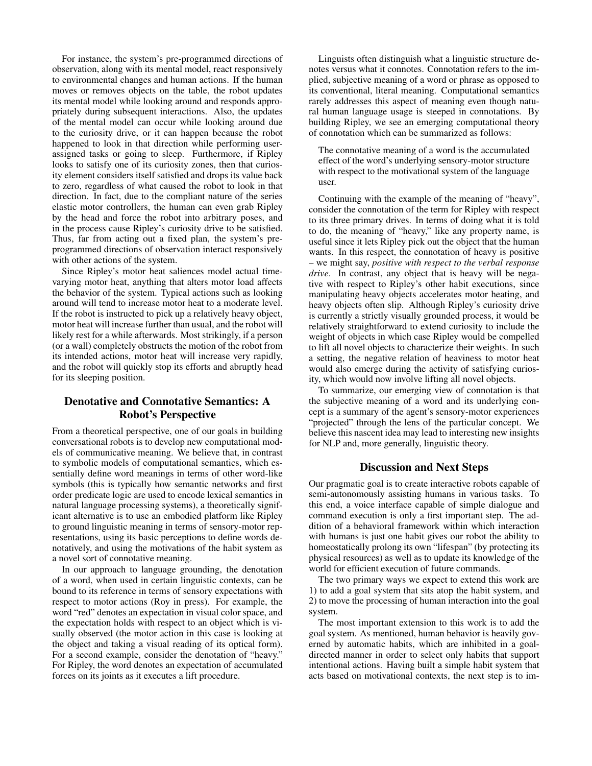For instance, the system's pre-programmed directions of observation, along with its mental model, react responsively to environmental changes and human actions. If the human moves or removes objects on the table, the robot updates its mental model while looking around and responds appropriately during subsequent interactions. Also, the updates of the mental model can occur while looking around due to the curiosity drive, or it can happen because the robot happened to look in that direction while performing userassigned tasks or going to sleep. Furthermore, if Ripley looks to satisfy one of its curiosity zones, then that curiosity element considers itself satisfied and drops its value back to zero, regardless of what caused the robot to look in that direction. In fact, due to the compliant nature of the series elastic motor controllers, the human can even grab Ripley by the head and force the robot into arbitrary poses, and in the process cause Ripley's curiosity drive to be satisfied. Thus, far from acting out a fixed plan, the system's preprogrammed directions of observation interact responsively with other actions of the system.

Since Ripley's motor heat saliences model actual timevarying motor heat, anything that alters motor load affects the behavior of the system. Typical actions such as looking around will tend to increase motor heat to a moderate level. If the robot is instructed to pick up a relatively heavy object, motor heat will increase further than usual, and the robot will likely rest for a while afterwards. Most strikingly, if a person (or a wall) completely obstructs the motion of the robot from its intended actions, motor heat will increase very rapidly, and the robot will quickly stop its efforts and abruptly head for its sleeping position.

# Denotative and Connotative Semantics: A Robot's Perspective

From a theoretical perspective, one of our goals in building conversational robots is to develop new computational models of communicative meaning. We believe that, in contrast to symbolic models of computational semantics, which essentially define word meanings in terms of other word-like symbols (this is typically how semantic networks and first order predicate logic are used to encode lexical semantics in natural language processing systems), a theoretically significant alternative is to use an embodied platform like Ripley to ground linguistic meaning in terms of sensory-motor representations, using its basic perceptions to define words denotatively, and using the motivations of the habit system as a novel sort of connotative meaning.

In our approach to language grounding, the denotation of a word, when used in certain linguistic contexts, can be bound to its reference in terms of sensory expectations with respect to motor actions (Roy in press). For example, the word "red" denotes an expectation in visual color space, and the expectation holds with respect to an object which is visually observed (the motor action in this case is looking at the object and taking a visual reading of its optical form). For a second example, consider the denotation of "heavy." For Ripley, the word denotes an expectation of accumulated forces on its joints as it executes a lift procedure.

Linguists often distinguish what a linguistic structure denotes versus what it connotes. Connotation refers to the implied, subjective meaning of a word or phrase as opposed to its conventional, literal meaning. Computational semantics rarely addresses this aspect of meaning even though natural human language usage is steeped in connotations. By building Ripley, we see an emerging computational theory of connotation which can be summarized as follows:

The connotative meaning of a word is the accumulated effect of the word's underlying sensory-motor structure with respect to the motivational system of the language user.

Continuing with the example of the meaning of "heavy", consider the connotation of the term for Ripley with respect to its three primary drives. In terms of doing what it is told to do, the meaning of "heavy," like any property name, is useful since it lets Ripley pick out the object that the human wants. In this respect, the connotation of heavy is positive – we might say, *positive with respect to the verbal response drive*. In contrast, any object that is heavy will be negative with respect to Ripley's other habit executions, since manipulating heavy objects accelerates motor heating, and heavy objects often slip. Although Ripley's curiosity drive is currently a strictly visually grounded process, it would be relatively straightforward to extend curiosity to include the weight of objects in which case Ripley would be compelled to lift all novel objects to characterize their weights. In such a setting, the negative relation of heaviness to motor heat would also emerge during the activity of satisfying curiosity, which would now involve lifting all novel objects.

To summarize, our emerging view of connotation is that the subjective meaning of a word and its underlying concept is a summary of the agent's sensory-motor experiences "projected" through the lens of the particular concept. We believe this nascent idea may lead to interesting new insights for NLP and, more generally, linguistic theory.

# Discussion and Next Steps

Our pragmatic goal is to create interactive robots capable of semi-autonomously assisting humans in various tasks. To this end, a voice interface capable of simple dialogue and command execution is only a first important step. The addition of a behavioral framework within which interaction with humans is just one habit gives our robot the ability to homeostatically prolong its own "lifespan" (by protecting its physical resources) as well as to update its knowledge of the world for efficient execution of future commands.

The two primary ways we expect to extend this work are 1) to add a goal system that sits atop the habit system, and 2) to move the processing of human interaction into the goal system.

The most important extension to this work is to add the goal system. As mentioned, human behavior is heavily governed by automatic habits, which are inhibited in a goaldirected manner in order to select only habits that support intentional actions. Having built a simple habit system that acts based on motivational contexts, the next step is to im